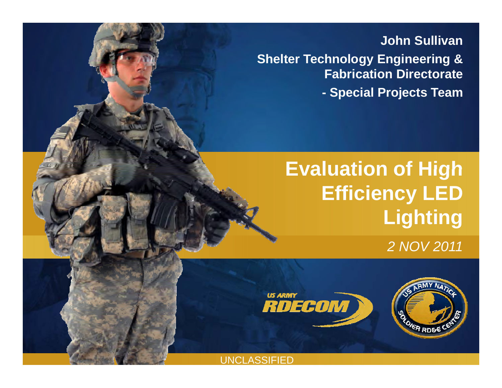**John Sullivan Shelter Technology Engineering & F b i ti Di t t Fabrication Directorate**

**- Special Projects Team** 

## **Evaluation of High Efficiency LED Lighting**

*2 NOV 2011*



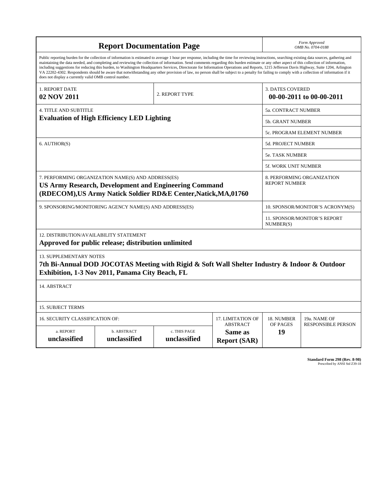| <b>Report Documentation Page</b>                        |                                                                                                                                                                                                                                                                                                                                                                                                                                                                                                                                                                                                                                                                                                                                                                                                          |                |                                  | Form Approved<br>OMB No. 0704-0188                  |                              |  |  |  |
|---------------------------------------------------------|----------------------------------------------------------------------------------------------------------------------------------------------------------------------------------------------------------------------------------------------------------------------------------------------------------------------------------------------------------------------------------------------------------------------------------------------------------------------------------------------------------------------------------------------------------------------------------------------------------------------------------------------------------------------------------------------------------------------------------------------------------------------------------------------------------|----------------|----------------------------------|-----------------------------------------------------|------------------------------|--|--|--|
| does not display a currently valid OMB control number.  | Public reporting burden for the collection of information is estimated to average 1 hour per response, including the time for reviewing instructions, searching existing data sources, gathering and<br>maintaining the data needed, and completing and reviewing the collection of information. Send comments regarding this burden estimate or any other aspect of this collection of information,<br>including suggestions for reducing this burden, to Washington Headquarters Services, Directorate for Information Operations and Reports, 1215 Jefferson Davis Highway, Suite 1204, Arlington<br>VA 22202-4302. Respondents should be aware that notwithstanding any other provision of law, no person shall be subject to a penalty for failing to comply with a collection of information if it |                |                                  |                                                     |                              |  |  |  |
| <b>1. REPORT DATE</b>                                   |                                                                                                                                                                                                                                                                                                                                                                                                                                                                                                                                                                                                                                                                                                                                                                                                          | 2. REPORT TYPE |                                  | <b>3. DATES COVERED</b><br>00-00-2011 to 00-00-2011 |                              |  |  |  |
| 02 NOV 2011                                             |                                                                                                                                                                                                                                                                                                                                                                                                                                                                                                                                                                                                                                                                                                                                                                                                          |                |                                  |                                                     |                              |  |  |  |
| <b>4. TITLE AND SUBTITLE</b>                            |                                                                                                                                                                                                                                                                                                                                                                                                                                                                                                                                                                                                                                                                                                                                                                                                          |                |                                  |                                                     | 5a. CONTRACT NUMBER          |  |  |  |
| <b>Evaluation of High Efficiency LED Lighting</b>       |                                                                                                                                                                                                                                                                                                                                                                                                                                                                                                                                                                                                                                                                                                                                                                                                          |                |                                  | <b>5b. GRANT NUMBER</b>                             |                              |  |  |  |
|                                                         |                                                                                                                                                                                                                                                                                                                                                                                                                                                                                                                                                                                                                                                                                                                                                                                                          |                |                                  |                                                     | 5c. PROGRAM ELEMENT NUMBER   |  |  |  |
| 6. AUTHOR(S)                                            |                                                                                                                                                                                                                                                                                                                                                                                                                                                                                                                                                                                                                                                                                                                                                                                                          |                |                                  | <b>5d. PROJECT NUMBER</b>                           |                              |  |  |  |
|                                                         |                                                                                                                                                                                                                                                                                                                                                                                                                                                                                                                                                                                                                                                                                                                                                                                                          |                |                                  |                                                     | <b>5e. TASK NUMBER</b>       |  |  |  |
|                                                         |                                                                                                                                                                                                                                                                                                                                                                                                                                                                                                                                                                                                                                                                                                                                                                                                          |                |                                  | <b>5f. WORK UNIT NUMBER</b>                         |                              |  |  |  |
|                                                         | 7. PERFORMING ORGANIZATION NAME(S) AND ADDRESS(ES)<br><b>US Army Research, Development and Engineering Command</b><br>(RDECOM), US Army Natick Soldier RD&E Center, Natick, MA, 01760                                                                                                                                                                                                                                                                                                                                                                                                                                                                                                                                                                                                                    |                |                                  | <b>REPORT NUMBER</b>                                | 8. PERFORMING ORGANIZATION   |  |  |  |
| 9. SPONSORING/MONITORING AGENCY NAME(S) AND ADDRESS(ES) |                                                                                                                                                                                                                                                                                                                                                                                                                                                                                                                                                                                                                                                                                                                                                                                                          |                | 10. SPONSOR/MONITOR'S ACRONYM(S) |                                                     |                              |  |  |  |
|                                                         |                                                                                                                                                                                                                                                                                                                                                                                                                                                                                                                                                                                                                                                                                                                                                                                                          |                |                                  | NUMBER(S)                                           | 11. SPONSOR/MONITOR'S REPORT |  |  |  |
| 12. DISTRIBUTION/AVAILABILITY STATEMENT                 | Approved for public release; distribution unlimited                                                                                                                                                                                                                                                                                                                                                                                                                                                                                                                                                                                                                                                                                                                                                      |                |                                  |                                                     |                              |  |  |  |
| <b>13. SUPPLEMENTARY NOTES</b>                          | 7th Bi-Annual DOD JOCOTAS Meeting with Rigid & Soft Wall Shelter Industry & Indoor & Outdoor<br>Exhibition, 1-3 Nov 2011, Panama City Beach, FL                                                                                                                                                                                                                                                                                                                                                                                                                                                                                                                                                                                                                                                          |                |                                  |                                                     |                              |  |  |  |
| 14. ABSTRACT                                            |                                                                                                                                                                                                                                                                                                                                                                                                                                                                                                                                                                                                                                                                                                                                                                                                          |                |                                  |                                                     |                              |  |  |  |
| <b>15. SUBJECT TERMS</b>                                |                                                                                                                                                                                                                                                                                                                                                                                                                                                                                                                                                                                                                                                                                                                                                                                                          |                |                                  |                                                     |                              |  |  |  |
| 16. SECURITY CLASSIFICATION OF:<br>17. LIMITATION OF    |                                                                                                                                                                                                                                                                                                                                                                                                                                                                                                                                                                                                                                                                                                                                                                                                          |                |                                  | 18. NUMBER                                          | 19a. NAME OF                 |  |  |  |
| a. REPORT                                               | b. ABSTRACT                                                                                                                                                                                                                                                                                                                                                                                                                                                                                                                                                                                                                                                                                                                                                                                              | c. THIS PAGE   | <b>ABSTRACT</b><br>Same as       | OF PAGES<br>19                                      | <b>RESPONSIBLE PERSON</b>    |  |  |  |
| unclassified                                            | unclassified                                                                                                                                                                                                                                                                                                                                                                                                                                                                                                                                                                                                                                                                                                                                                                                             | unclassified   | <b>Report (SAR)</b>              |                                                     |                              |  |  |  |

**Standard Form 298 (Rev. 8-98)**<br>Prescribed by ANSI Std Z39-18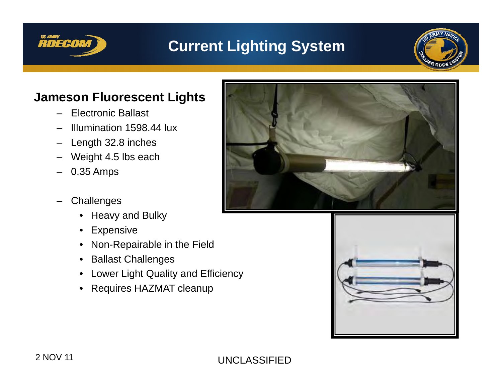

## **Current Lighting System**



#### **Jameson Fluorescent Lights**

- Electronic Ballast
- Illumination 1598.44 lux
- Length 32.8 inches
- Weight 4.5 lbs each
- 0.35 Amps
- **Challenges** 
	- Heavy and Bulky
	- Expensive
	- Non-Repairable in the Field
	- Ballast Challenges
	- Lower Light Quality and Efficiency
	- Requires HAZMAT cleanup



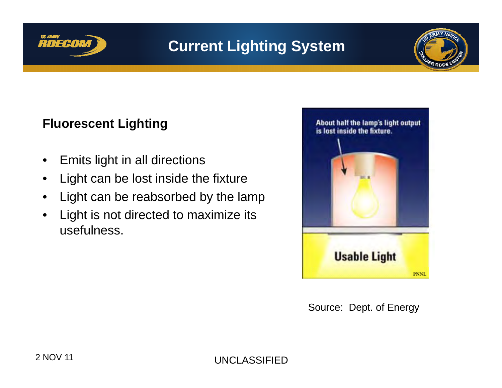

## **Current Lighting System**



#### **Fl t Li hti Fluorescent Lighting**

- $\bullet$ Emits light in all directions
- $\bullet$ Light can be lost inside the fixture
- $\bullet$ Light can be reabsorbed by the lamp
- $\bullet$  Light is not directed to maximize its usefulness.



Source: Dept. of Energy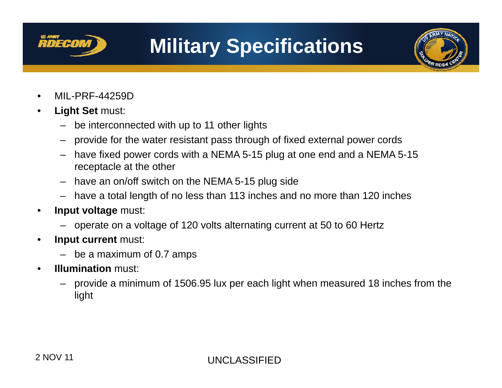

## **Military Specifications**



- $\bullet$ MIL-PRF-44259D
- • **Light Set** must:
	- be interconnected with up to 11 other lights
	- provide for the water resistant pass through of fixed external power cords
	- have fixed power cords with a NEMA 5-15 plug at one end and a NEMA 5-15 receptacle at the other
	- have an on/off switch on the NEMA 5-15 plug side
	- have a total length of no less than 113 inches and no more than 120 inches
- • **Input voltage** must:
	- operate on a voltage of 120 volts alternating current at 50 to 60 Hertz
- • **Input current** must:
	- be a maximum of 0.7 amps
- • **Illumination** must:
	- – provide a minimum of 1506.95 lux per each light when measured 18 inches from the light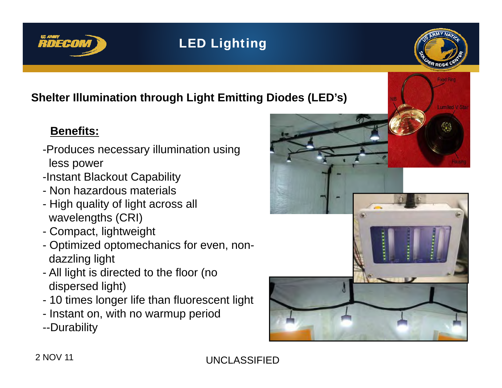

### LED Lighting



### **Shelter Illumination through Light Emitting Diodes (LED's)**

#### **Benefits:**

- -Produces necessary illumination using less power
- -Instant Blackout Capability
- Non hazardous materials
- High quality of light across all wavelengths (CRI)
- Compact, lightweight
- Optimized optomechanics for even, nondazzling light
- All light is directed to the floor (no dispersed light)
- 10 times longer life than fluorescent light
- Instant on, with no warmup period
- --Durability

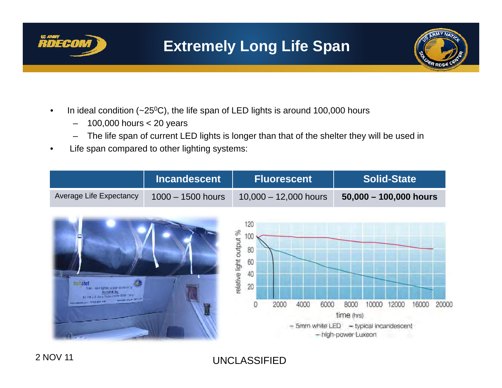

## **Extremely Long Life Span**



- •In ideal condition  $(-25^{\circ}C)$ , the life span of LED lights is around 100,000 hours
	- –– 100,000 hours < 20 years
	- –The life span of current LED lights is longer than that of the shelter they will be used in
- $\bullet$ Life span compared to other lighting systems:

|                                                                                                                                                                             | <b>Incandescent</b> | <b>Fluorescent</b>                                                                        |      | <b>Solid-State</b>                        |                                 |       |       |       |
|-----------------------------------------------------------------------------------------------------------------------------------------------------------------------------|---------------------|-------------------------------------------------------------------------------------------|------|-------------------------------------------|---------------------------------|-------|-------|-------|
| Average Life Expectancy                                                                                                                                                     | $1000 - 1500$ hours | $10,000 - 12,000$ hours                                                                   |      |                                           | 50,000 - 100,000 hours          |       |       |       |
| techshot<br>Solid - state lighting aystern developed by<br>Techshot Inc.<br>for the U.S. Austy Nation Seleter RDBF Center<br>AWARDED BY A SHOULD<br>WANDERSHIPS AND RESERVE |                     | 120<br>relative light output %<br>80<br>60<br>40<br>20<br>2000<br>4000<br>- 5mm white LED | 6000 | 8000<br>time (hrs)<br>- high-power Luxeon | 10000<br>- typical incandescent | 12000 | 16000 | 20000 |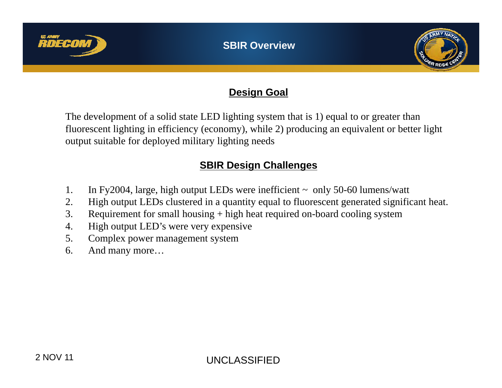



#### **Design Goal**

The development of a solid state LED lighting system that is 1) equal to or greater than fluorescent lighting in efficiency (economy), while 2) producing an equivalent or better light output suitable for deployed military lighting needs

#### **SBIR Design Challenges**

- 1. In Fy2004, large, high output LEDs were inefficient  $\sim$  only 50-60 lumens/watt
- 2. High output LEDs clustered in a quantity equal to fluorescent generated significant heat.
- 3. Requirement for small housing  $+$  high heat required on-board cooling system
- 4. High output LED's were very expensive
- 5. Complex power management system
- 6. And many more…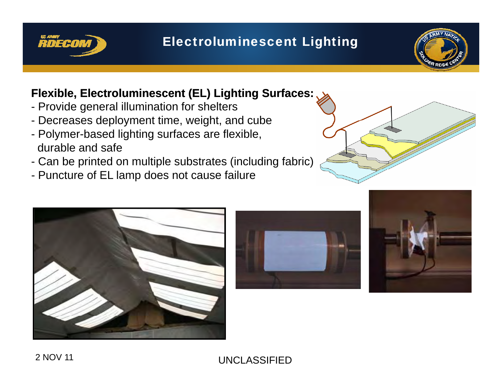

#### Electroluminescent Lighting



#### **Flexible, Electroluminescent (EL) Lighting Surfaces:**

- Provide general illumination for shelters
- Decreases deployment time, weight, and cube
- Polymer-based lighting surfaces are flexible, durable and safe
- Can be printed on multiple substrates (including fabric)
- Puncture of EL lamp does not cause failure







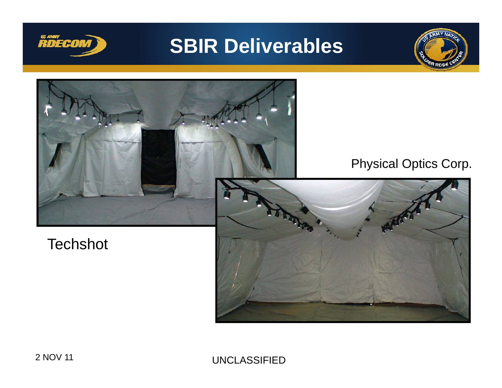

## **SBIR Deliverables**



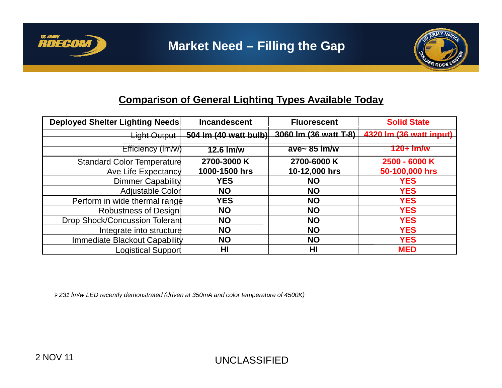

#### **Comparison of General Lighting Types Available Today**

| Deployed Shelter Lighting Needs   | <b>Incandescent</b>     | <b>Fluorescent</b>     | <b>Solid State</b>      |
|-----------------------------------|-------------------------|------------------------|-------------------------|
| Light Output                      | 504 Im $(40$ watt bulb) | 3060 lm (36 watt T-8)  | 4320 lm (36 watt input) |
| Efficiency (Im/w)                 | $12.6$ $\text{Im/w}$    | ave~ $85 \text{ lm/w}$ | $120+1$ m/w             |
| <b>Standard Color Temperature</b> | 2700-3000 K             | 2700-6000 K            | 2500 - 6000 K           |
| Ave Life Expectancy               | 1000-1500 hrs           | 10-12,000 hrs          | 50-100,000 hrs          |
| <b>Dimmer Capability</b>          | <b>YES</b>              | <b>NO</b>              | <b>YES</b>              |
| Adjustable Color                  | <b>NO</b>               | <b>NO</b>              | <b>YES</b>              |
| Perform in wide thermal range     | <b>YES</b>              | <b>NO</b>              | <b>YES</b>              |
| Robustness of Design              | <b>NO</b>               | <b>NO</b>              | <b>YES</b>              |
| Drop Shock/Concussion Tolerant    | <b>NO</b>               | <b>NO</b>              | <b>YES</b>              |
| Integrate into structure          | <b>NO</b>               | <b>NO</b>              | <b>YES</b>              |
| Immediate Blackout Capability     | <b>NO</b>               | <b>NO</b>              | <b>YES</b>              |
| <b>Logistical Support</b>         | HI                      | H <sub>l</sub>         | <b>MED</b>              |

¾*231 lm/w LED recently demonstrated (driven at 350mA and color temperature of 4500K)*

**RDECOM**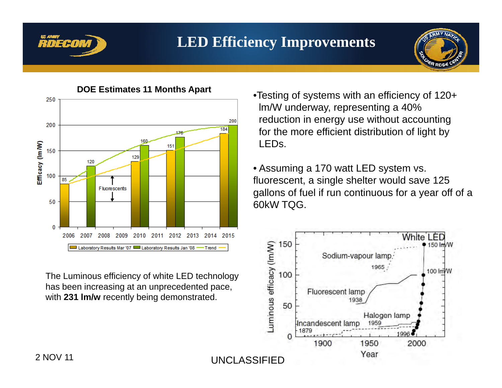

### **LED Efficiency Improvements**





The Luminous efficiency of white LED technology has been increasing at an unprecedented pace, with **231 lm/w** recently being demonstrated.

- •Testing of systems with an efficiency of 120+ lm/W underway, representing a 40% reduction in energy use without accounting for the more efficient distribution of light by LEDs.
- Assuming a 170 watt LED system vs. fluorescent, a single shelter would save 125 gallons of fuel if run continuous for a year off of a 60kW TQG.

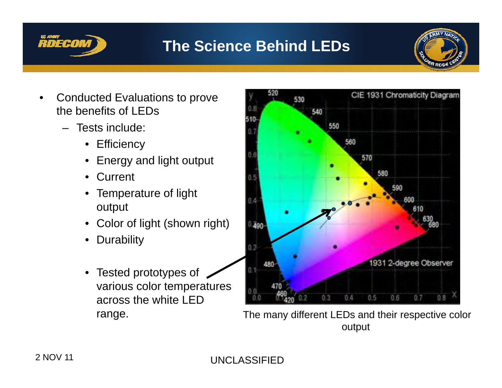

## **The Science Behind LEDs**



- • Conducted Evaluations to prove the benefits of LEDs
	- Tests include:
		- Efficiency
		- Energy and light output
		- •**Current**
		- Temperature of light output
		- Color of light (shown right)
		- •Durability
		- Tested prototypes of various color temperatures across the white LED



range. The many different LEDs and their respective color output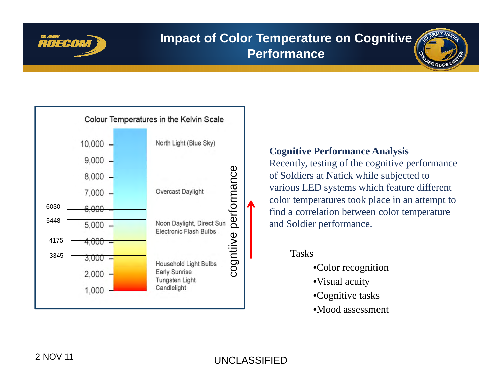

#### **Impact of Color Temperature on Cognitive Performance**



#### **Cognitive Performance Analysis**

Recently, testing of the cognitive performance

- $\tilde{C}$   $\sim$   $\tilde{C}$   $\sim$   $\tilde{C}$   $\sim$   $\tilde{C}$   $\sim$   $\tilde{C}$   $\sim$   $\tilde{C}$   $\sim$   $\tilde{C}$   $\sim$   $\tilde{C}$   $\sim$   $\tilde{C}$   $\sim$   $\tilde{C}$   $\sim$   $\tilde{C}$   $\sim$   $\tilde{C}$   $\sim$   $\tilde{C}$   $\sim$   $\tilde{C}$   $\sim$   $\tilde{C}$   $\sim$   $\tilde{C}$   $\$ 
	- •Visual acuity
	- •Cognitive tasks
	- •Mood assessment

UNCLASSIFIED 2 NOV 11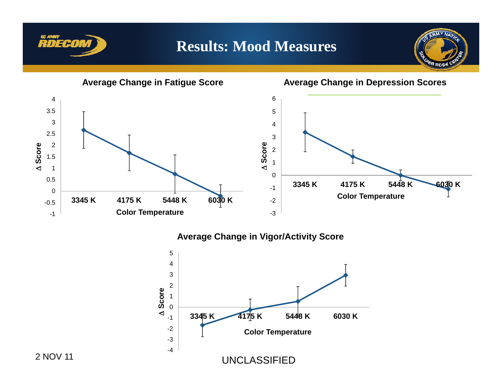

### **Results: Mood Measures**



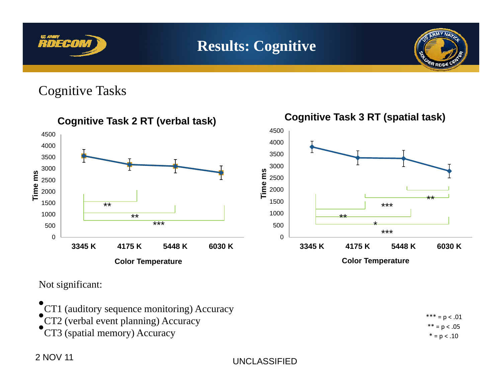

Cognitive Tasks



Not significant:

•CT1 (auditory sequence monitoring) Accuracy •<sup>\*</sup> CT2 (verbal event planning) Accuracy •CT3 (spatial memory) Accuracy

= p .01 \*\* <sup>=</sup> p <sup>&</sup>lt; .05 \* <sup>=</sup> p <sup>&</sup>lt; .10

2 NOV 11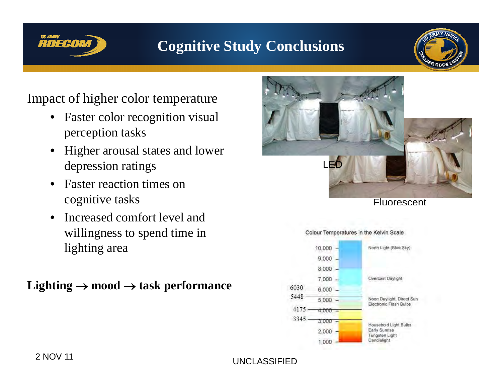# **RDECON**

### **Cognitive Study Conclusions**



#### Impact of higher color temperature

- •Faster color recognition visual perception tasks
- • Higher arousal states and lower depression ratings LED
- • Faster reaction times on cognitive tasks
- $\bullet$  $\bullet$  Increased comfort level and willingness to spend time in lighting area

### **Lighting**  → **mood**  → **task performance**



**Fluorescent** 



#### Colour Temperatures in the Kelvin Scale

UNCLASSIFIED 2 NOV 11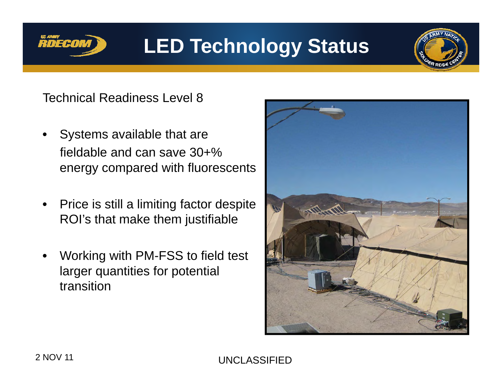

## **LED Technology Status**

Technical Readiness Level 8

- • Systems available that are fieldable and can save 30+% energy compared with fluorescents
- $\bullet$  Price is still a limiting factor despite ROI's that make them justifiable
- $\bullet$  Working with PM-FSS to field test larger quantities for potential transition

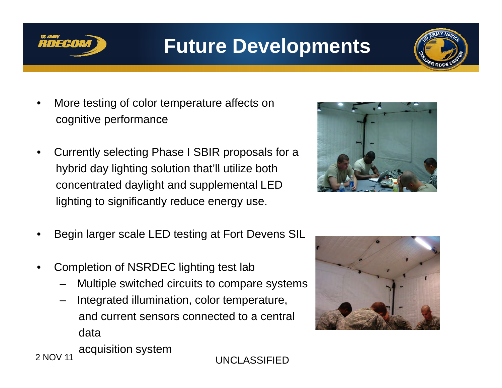

## **Future Developments**

- • More testing of color temperature affects on cognitive performance
- • Currently selecting Phase I SBIR proposals for a hybrid day lighting solution that'll utilize both concentrated daylight and supplemental LED lighting to significantly reduce energy use.
- •Begin larger scale LED testing at Fort Devens SIL
- • Completion of NSRDEC lighting test lab
	- Multiple switched circuits to compare systems
	- Integrated illumination, color temperature, and current sensors connected to a central \_\_\_\_\_ data





acquisition system 2 NOV 11